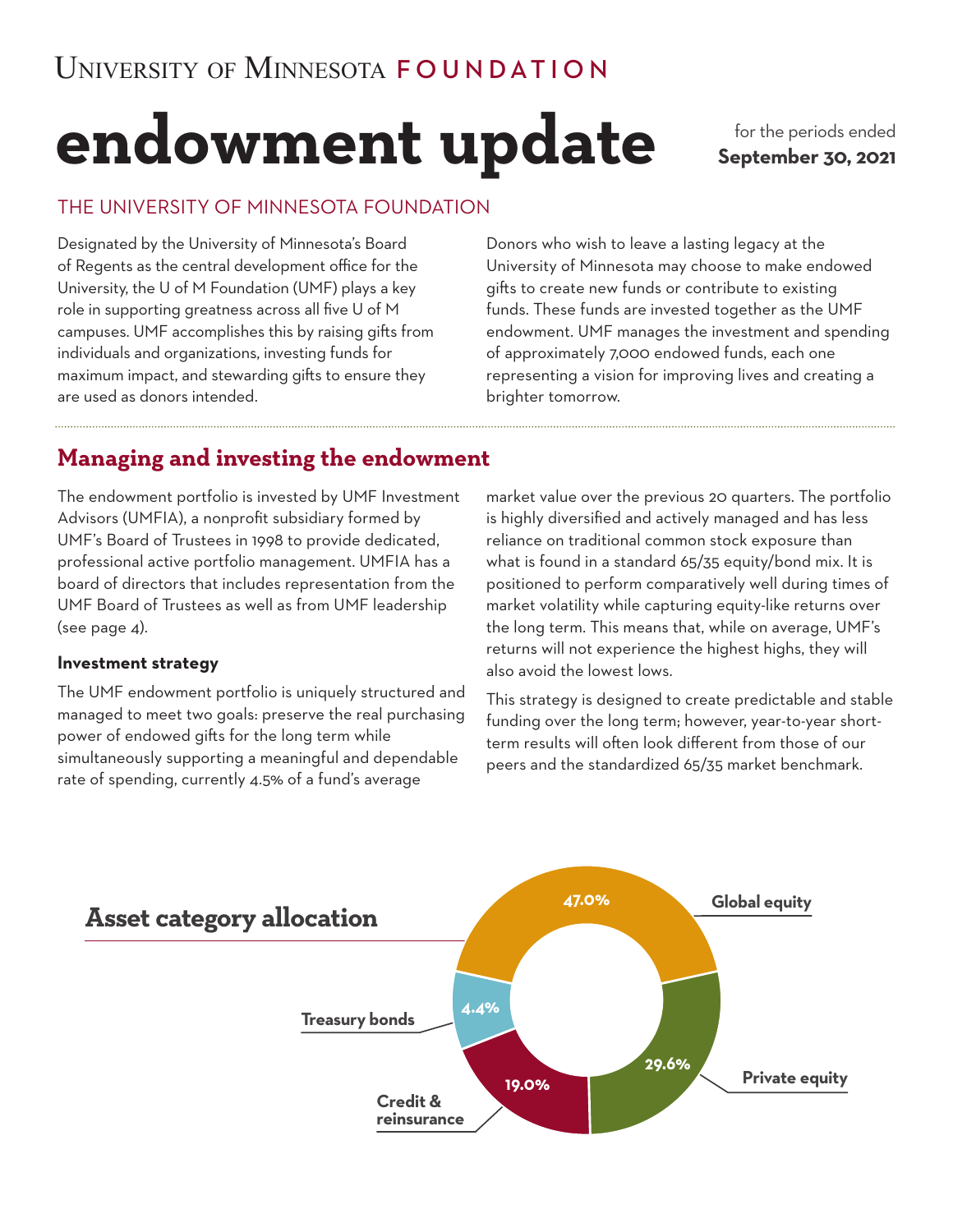# **endowment update**

for the periods ended **September 30, 2021**

## THE UNIVERSITY OF MINNESOTA FOUNDATION

Designated by the University of Minnesota's Board of Regents as the central development office for the University, the U of M Foundation (UMF) plays a key role in supporting greatness across all five U of M campuses. UMF accomplishes this by raising gifts from individuals and organizations, investing funds for maximum impact, and stewarding gifts to ensure they are used as donors intended.

Donors who wish to leave a lasting legacy at the University of Minnesota may choose to make endowed gifts to create new funds or contribute to existing funds. These funds are invested together as the UMF endowment. UMF manages the investment and spending of approximately 7,000 endowed funds, each one representing a vision for improving lives and creating a brighter tomorrow.

# **Managing and investing the endowment**

The endowment portfolio is invested by UMF Investment Advisors (UMFIA), a nonprofit subsidiary formed by UMF's Board of Trustees in 1998 to provide dedicated, professional active portfolio management. UMFIA has a board of directors that includes representation from the UMF Board of Trustees as well as from UMF leadership (see page 4).

#### **Investment strategy**

The UMF endowment portfolio is uniquely structured and managed to meet two goals: preserve the real purchasing power of endowed gifts for the long term while simultaneously supporting a meaningful and dependable rate of spending, currently 4.5% of a fund's average

market value over the previous 20 quarters. The portfolio is highly diversified and actively managed and has less reliance on traditional common stock exposure than what is found in a standard 65/35 equity/bond mix. It is positioned to perform comparatively well during times of market volatility while capturing equity-like returns over the long term. This means that, while on average, UMF's returns will not experience the highest highs, they will also avoid the lowest lows.

This strategy is designed to create predictable and stable funding over the long term; however, year-to-year shortterm results will often look different from those of our peers and the standardized 65/35 market benchmark.

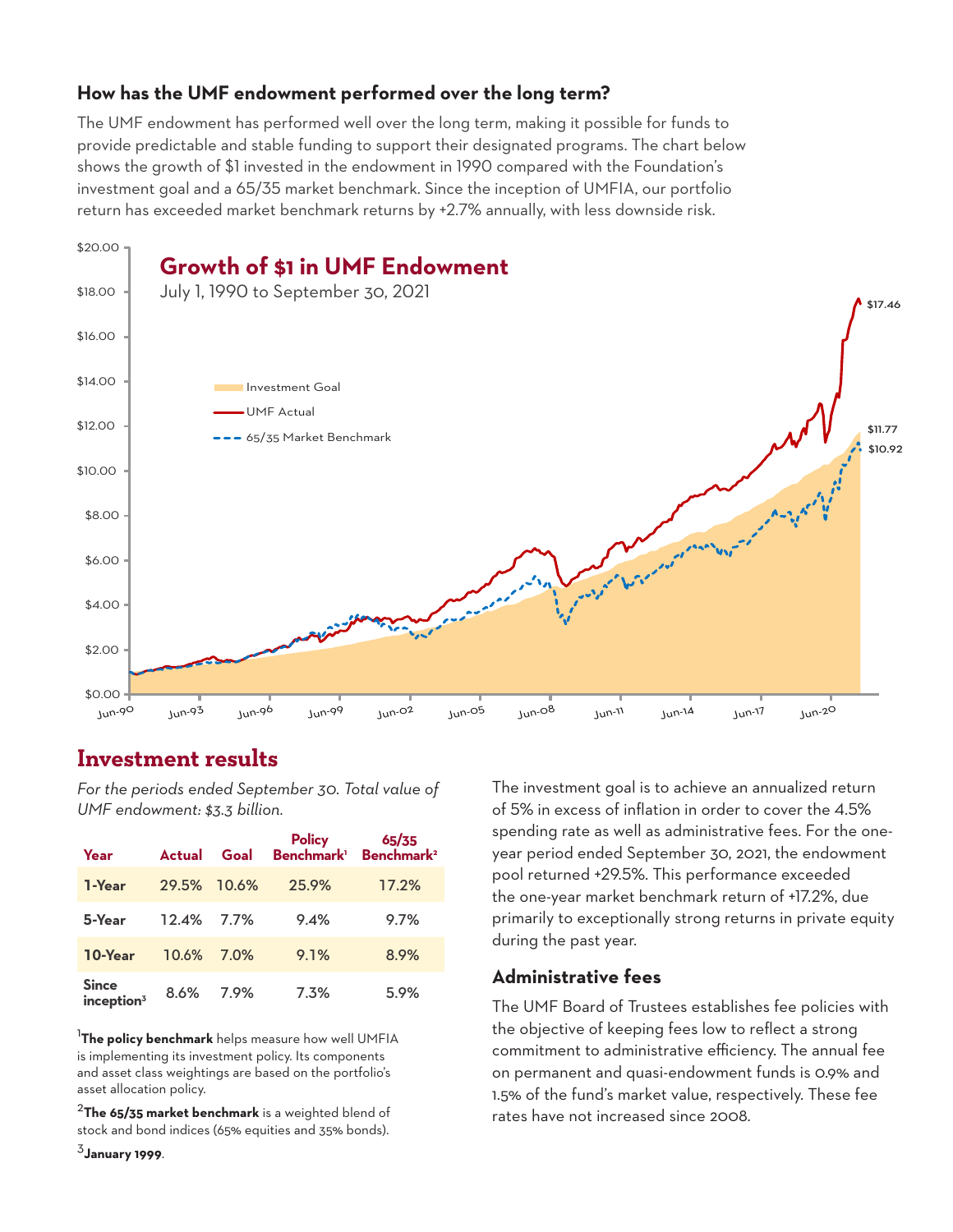## **How has the UMF endowment performed over the long term?**

The UMF endowment has performed well over the long term, making it possible for funds to provide predictable and stable funding to support their designated programs. The chart below shows the growth of \$1 invested in the endowment in 1990 compared with the Foundation's investment goal and a 65/35 market benchmark. Since the inception of UMFIA, our portfolio return has exceeded market benchmark returns by +2.7% annually, with less downside risk.



# **Investment results**

*For the periods ended September 30. Total value of UMF endowment: \$3.3 billion.*

| Year                                            | <b>Actual</b> | Goal        |       |       |
|-------------------------------------------------|---------------|-------------|-------|-------|
| 1-Year                                          |               | 29.5% 10.6% | 25.9% | 17.2% |
| 5-Year                                          | 12.4% 7.7%    |             | 9.4%  | 9.7%  |
| 10-Year                                         | <b>10.6%</b>  | 7.0%        | 9.1%  | 8.9%  |
| <b>Since</b><br>$\mathop{\mathsf{inception^3}}$ | 8.6%          | 7.9%        | 7.3%  | 5.9%  |

1 **The policy benchmark** helps measure how well UMFIA is implementing its investment policy. Its components and asset class weightings are based on the portfolio's asset allocation policy.

<sup>2</sup>**The 65/35 market benchmark** is a weighted blend of stock and bond indices (65% equities and 35% bonds).

<sup>3</sup>**January 1999**.

The investment goal is to achieve an annualized return of 5% in excess of inflation in order to cover the 4.5% spending rate as well as administrative fees. For the oneyear period ended September 30, 2021, the endowment pool returned +29.5%. This performance exceeded the one-year market benchmark return of +17.2%, due primarily to exceptionally strong returns in private equity during the past year.

#### **Administrative fees**

The UMF Board of Trustees establishes fee policies with the objective of keeping fees low to reflect a strong commitment to administrative efficiency. The annual fee on permanent and quasi-endowment funds is 0.9% and 1.5% of the fund's market value, respectively. These fee rates have not increased since 2008.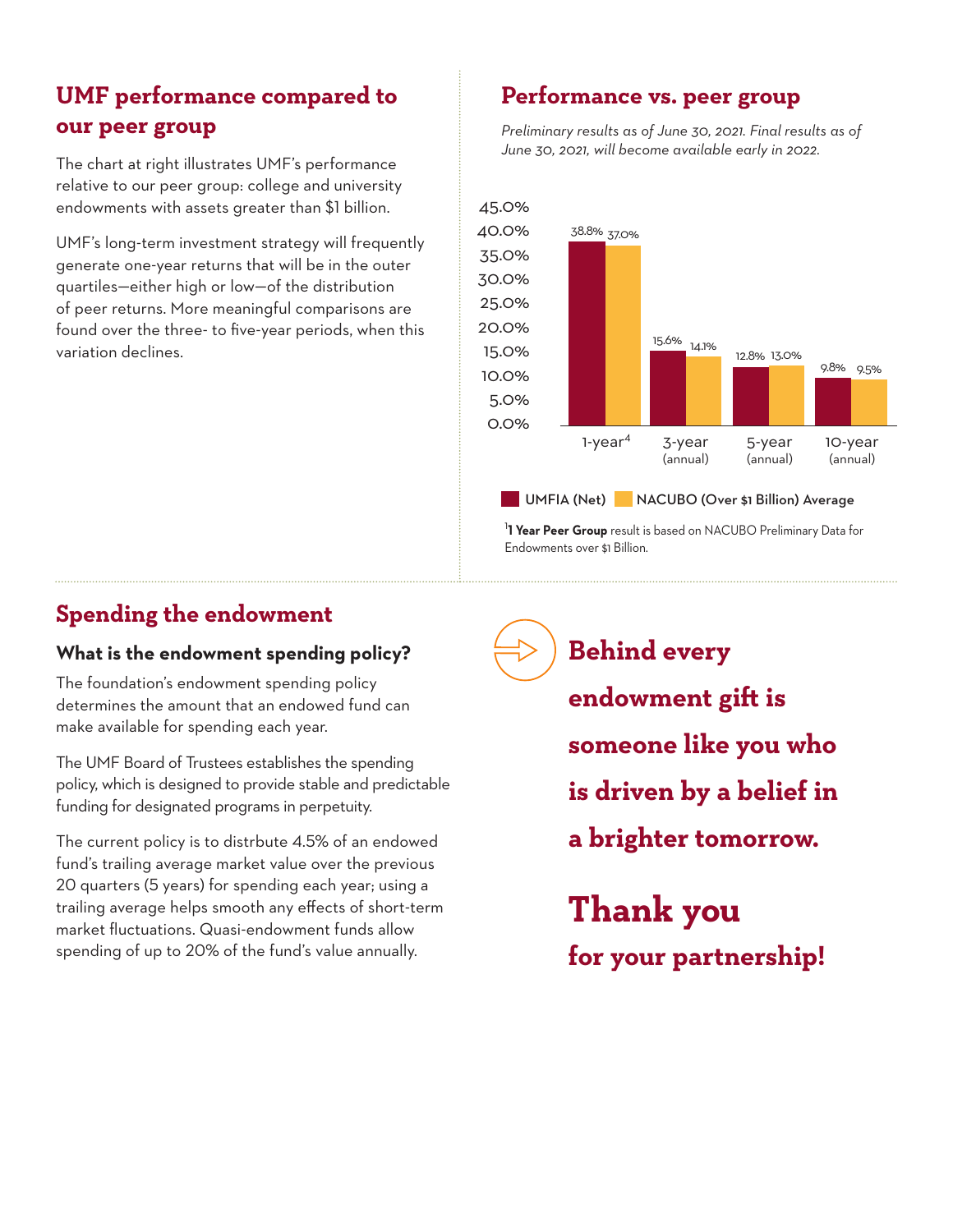# **UMF performance compared to our peer group**

The chart at right illustrates UMF's performance relative to our peer group: college and university endowments with assets greater than \$1 billion.

UMF's long-term investment strategy will frequently generate one-year returns that will be in the outer quartiles—either high or low—of the distribution of peer returns. More meaningful comparisons are found over the three- to five-year periods, when this variation declines.

# **Performance vs. peer group**

*Preliminary results as of June 30, 2021. Final results as of June 30, 2021, will become available early in 2022.* 



1 **1 Year Peer Group** result is based on NACUBO Preliminary Data for Endowments over \$1 Billion.

# **Spending the endowment**

## **What is the endowment spending policy?**

The foundation's endowment spending policy determines the amount that an endowed fund can make available for spending each year.

The UMF Board of Trustees establishes the spending policy, which is designed to provide stable and predictable funding for designated programs in perpetuity.

The current policy is to distrbute 4.5% of an endowed fund's trailing average market value over the previous 20 quarters (5 years) for spending each year; using a trailing average helps smooth any effects of short-term market fluctuations. Quasi-endowment funds allow spending of up to 20% of the fund's value annually.

**Behind every endowment gift is someone like you who is driven by a belief in a brighter tomorrow.**

**Thank you for your partnership!**